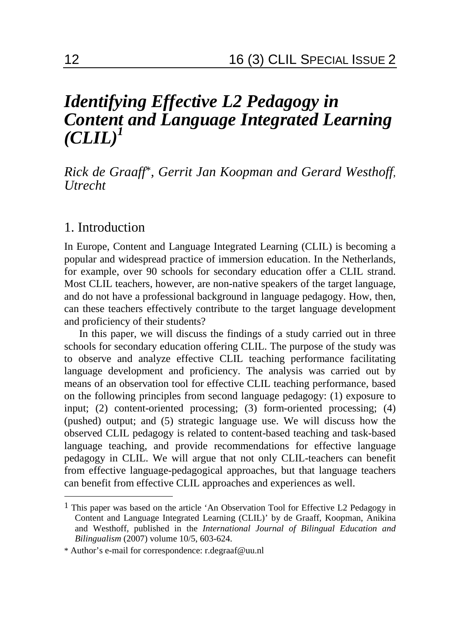# *Identifying Effective L2 Pedagogy in Content and Language Integrated Learning*   $\left( \text{CLIL} \right)^{1}$

*Rick de Graaff*\**, Gerrit Jan Koopman and Gerard Westhoff*, *Utrecht* 

#### 1. Introduction

 $\overline{a}$ 

In Europe, Content and Language Integrated Learning (CLIL) is becoming a popular and widespread practice of immersion education. In the Netherlands, for example, over 90 schools for secondary education offer a CLIL strand. Most CLIL teachers, however, are non-native speakers of the target language, and do not have a professional background in language pedagogy. How, then, can these teachers effectively contribute to the target language development and proficiency of their students?

In this paper, we will discuss the findings of a study carried out in three schools for secondary education offering CLIL. The purpose of the study was to observe and analyze effective CLIL teaching performance facilitating language development and proficiency. The analysis was carried out by means of an observation tool for effective CLIL teaching performance, based on the following principles from second language pedagogy: (1) exposure to input; (2) content-oriented processing; (3) form-oriented processing; (4) (pushed) output; and (5) strategic language use. We will discuss how the observed CLIL pedagogy is related to content-based teaching and task-based language teaching, and provide recommendations for effective language pedagogy in CLIL. We will argue that not only CLIL-teachers can benefit from effective language-pedagogical approaches, but that language teachers can benefit from effective CLIL approaches and experiences as well.

<sup>1</sup> This paper was based on the article 'An Observation Tool for Effective L2 Pedagogy in Content and Language Integrated Learning (CLIL)' by de Graaff, Koopman, Anikina and Westhoff, published in the *International Journal of Bilingual Education and Bilingualism* (2007) volume 10/5, 603-624.

<sup>\*</sup> Author's e-mail for correspondence: r.degraaf@uu.nl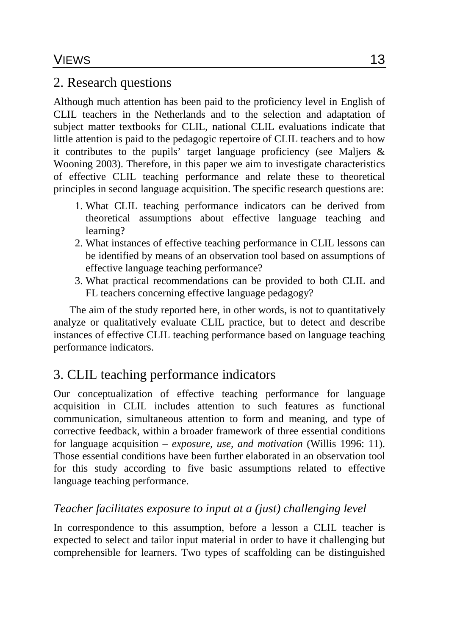# 2. Research questions

Although much attention has been paid to the proficiency level in English of CLIL teachers in the Netherlands and to the selection and adaptation of subject matter textbooks for CLIL, national CLIL evaluations indicate that little attention is paid to the pedagogic repertoire of CLIL teachers and to how it contributes to the pupils' target language proficiency (see Maljers & Wooning 2003). Therefore, in this paper we aim to investigate characteristics of effective CLIL teaching performance and relate these to theoretical principles in second language acquisition. The specific research questions are:

- 1. What CLIL teaching performance indicators can be derived from theoretical assumptions about effective language teaching and learning?
- 2. What instances of effective teaching performance in CLIL lessons can be identified by means of an observation tool based on assumptions of effective language teaching performance?
- 3. What practical recommendations can be provided to both CLIL and FL teachers concerning effective language pedagogy?

The aim of the study reported here, in other words, is not to quantitatively analyze or qualitatively evaluate CLIL practice, but to detect and describe instances of effective CLIL teaching performance based on language teaching performance indicators.

# 3. CLIL teaching performance indicators

Our conceptualization of effective teaching performance for language acquisition in CLIL includes attention to such features as functional communication, simultaneous attention to form and meaning, and type of corrective feedback, within a broader framework of three essential conditions for language acquisition – *exposure, use, and motivation* (Willis 1996: 11). Those essential conditions have been further elaborated in an observation tool for this study according to five basic assumptions related to effective language teaching performance.

## *Teacher facilitates exposure to input at a (just) challenging level*

In correspondence to this assumption, before a lesson a CLIL teacher is expected to select and tailor input material in order to have it challenging but comprehensible for learners. Two types of scaffolding can be distinguished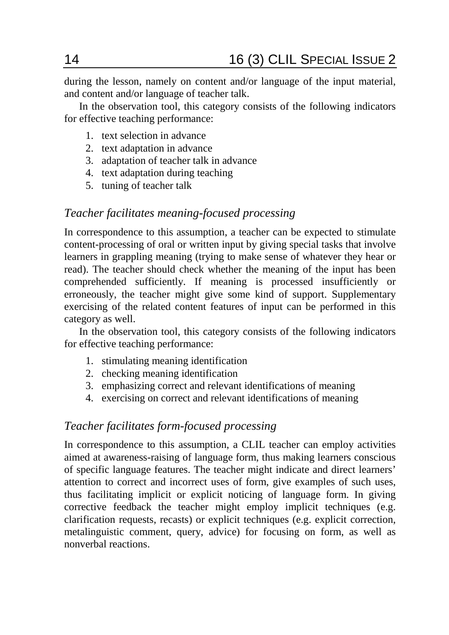during the lesson, namely on content and/or language of the input material, and content and/or language of teacher talk.

In the observation tool, this category consists of the following indicators for effective teaching performance:

- 1. text selection in advance
- 2. text adaptation in advance
- 3. adaptation of teacher talk in advance
- 4. text adaptation during teaching
- 5. tuning of teacher talk

#### *Teacher facilitates meaning-focused processing*

In correspondence to this assumption, a teacher can be expected to stimulate content-processing of oral or written input by giving special tasks that involve learners in grappling meaning (trying to make sense of whatever they hear or read). The teacher should check whether the meaning of the input has been comprehended sufficiently. If meaning is processed insufficiently or erroneously, the teacher might give some kind of support. Supplementary exercising of the related content features of input can be performed in this category as well.

In the observation tool, this category consists of the following indicators for effective teaching performance:

- 1. stimulating meaning identification
- 2. checking meaning identification
- 3. emphasizing correct and relevant identifications of meaning
- 4. exercising on correct and relevant identifications of meaning

#### *Teacher facilitates form-focused processing*

In correspondence to this assumption, a CLIL teacher can employ activities aimed at awareness-raising of language form, thus making learners conscious of specific language features. The teacher might indicate and direct learners' attention to correct and incorrect uses of form, give examples of such uses, thus facilitating implicit or explicit noticing of language form. In giving corrective feedback the teacher might employ implicit techniques (e.g. clarification requests, recasts) or explicit techniques (e.g. explicit correction, metalinguistic comment, query, advice) for focusing on form, as well as nonverbal reactions.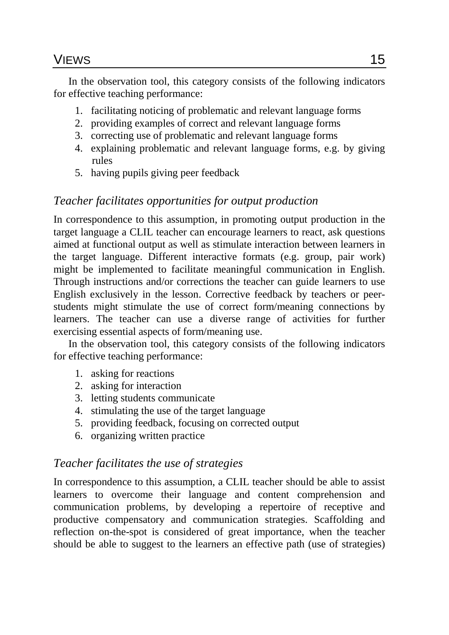## VIEWS 15

In the observation tool, this category consists of the following indicators for effective teaching performance:

- 1. facilitating noticing of problematic and relevant language forms
- 2. providing examples of correct and relevant language forms
- 3. correcting use of problematic and relevant language forms
- 4. explaining problematic and relevant language forms, e.g. by giving rules
- 5. having pupils giving peer feedback

## *Teacher facilitates opportunities for output production*

In correspondence to this assumption, in promoting output production in the target language a CLIL teacher can encourage learners to react, ask questions aimed at functional output as well as stimulate interaction between learners in the target language. Different interactive formats (e.g. group, pair work) might be implemented to facilitate meaningful communication in English. Through instructions and/or corrections the teacher can guide learners to use English exclusively in the lesson. Corrective feedback by teachers or peerstudents might stimulate the use of correct form/meaning connections by learners. The teacher can use a diverse range of activities for further exercising essential aspects of form/meaning use.

In the observation tool, this category consists of the following indicators for effective teaching performance:

- 1. asking for reactions
- 2. asking for interaction
- 3. letting students communicate
- 4. stimulating the use of the target language
- 5. providing feedback, focusing on corrected output
- 6. organizing written practice

#### *Teacher facilitates the use of strategies*

In correspondence to this assumption, a CLIL teacher should be able to assist learners to overcome their language and content comprehension and communication problems, by developing a repertoire of receptive and productive compensatory and communication strategies. Scaffolding and reflection on-the-spot is considered of great importance, when the teacher should be able to suggest to the learners an effective path (use of strategies)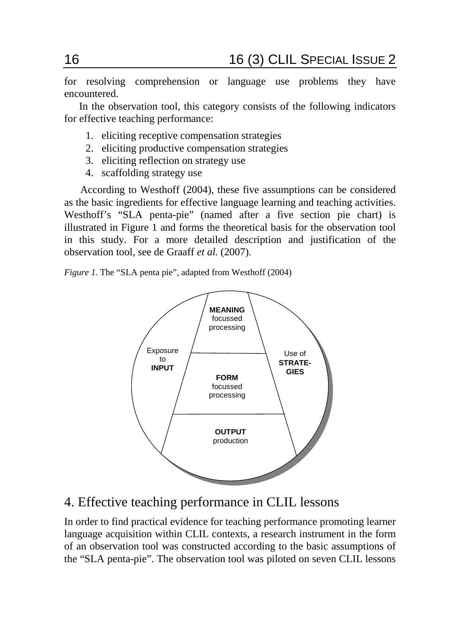for resolving comprehension or language use problems they have encountered.

In the observation tool, this category consists of the following indicators for effective teaching performance:

- 1. eliciting receptive compensation strategies
- 2. eliciting productive compensation strategies
- 3. eliciting reflection on strategy use
- 4. scaffolding strategy use

According to Westhoff (2004), these five assumptions can be considered as the basic ingredients for effective language learning and teaching activities. Westhoff's "SLA penta-pie" (named after a five section pie chart) is illustrated in Figure 1 and forms the theoretical basis for the observation tool in this study. For a more detailed description and justification of the observation tool, see de Graaff *et al.* (2007).

*Figure 1.* The "SLA penta pie", adapted from Westhoff (2004)



# 4. Effective teaching performance in CLIL lessons

In order to find practical evidence for teaching performance promoting learner language acquisition within CLIL contexts, a research instrument in the form of an observation tool was constructed according to the basic assumptions of the "SLA penta-pie". The observation tool was piloted on seven CLIL lessons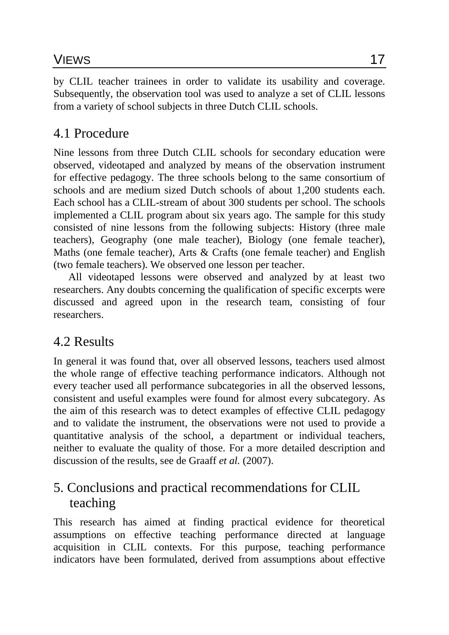## VIEWS 17

by CLIL teacher trainees in order to validate its usability and coverage. Subsequently, the observation tool was used to analyze a set of CLIL lessons from a variety of school subjects in three Dutch CLIL schools.

## 4.1 Procedure

Nine lessons from three Dutch CLIL schools for secondary education were observed, videotaped and analyzed by means of the observation instrument for effective pedagogy. The three schools belong to the same consortium of schools and are medium sized Dutch schools of about 1,200 students each. Each school has a CLIL-stream of about 300 students per school. The schools implemented a CLIL program about six years ago. The sample for this study consisted of nine lessons from the following subjects: History (three male teachers), Geography (one male teacher), Biology (one female teacher), Maths (one female teacher), Arts & Crafts (one female teacher) and English (two female teachers). We observed one lesson per teacher.

All videotaped lessons were observed and analyzed by at least two researchers. Any doubts concerning the qualification of specific excerpts were discussed and agreed upon in the research team, consisting of four researchers.

## 4.2 Results

In general it was found that, over all observed lessons, teachers used almost the whole range of effective teaching performance indicators. Although not every teacher used all performance subcategories in all the observed lessons, consistent and useful examples were found for almost every subcategory. As the aim of this research was to detect examples of effective CLIL pedagogy and to validate the instrument, the observations were not used to provide a quantitative analysis of the school, a department or individual teachers, neither to evaluate the quality of those. For a more detailed description and discussion of the results, see de Graaff *et al.* (2007).

# 5. Conclusions and practical recommendations for CLIL teaching

This research has aimed at finding practical evidence for theoretical assumptions on effective teaching performance directed at language acquisition in CLIL contexts. For this purpose, teaching performance indicators have been formulated, derived from assumptions about effective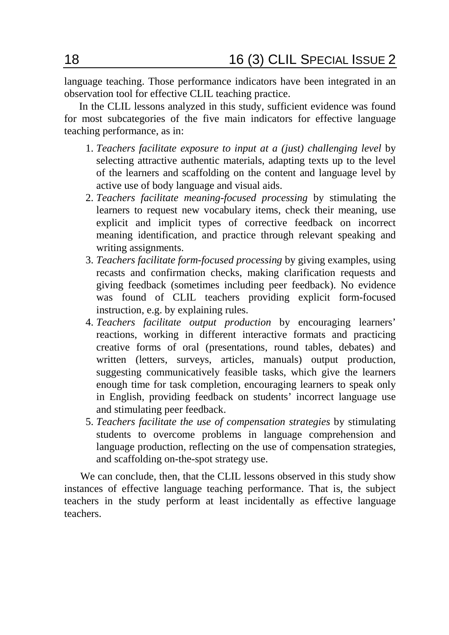language teaching. Those performance indicators have been integrated in an observation tool for effective CLIL teaching practice.

In the CLIL lessons analyzed in this study, sufficient evidence was found for most subcategories of the five main indicators for effective language teaching performance, as in:

- 1. *Teachers facilitate exposure to input at a (just) challenging level* by selecting attractive authentic materials, adapting texts up to the level of the learners and scaffolding on the content and language level by active use of body language and visual aids.
- 2. *Teachers facilitate meaning-focused processing* by stimulating the learners to request new vocabulary items, check their meaning, use explicit and implicit types of corrective feedback on incorrect meaning identification, and practice through relevant speaking and writing assignments.
- 3. *Teachers facilitate form-focused processing* by giving examples, using recasts and confirmation checks, making clarification requests and giving feedback (sometimes including peer feedback). No evidence was found of CLIL teachers providing explicit form-focused instruction, e.g. by explaining rules.
- 4. *Teachers facilitate output production* by encouraging learners' reactions, working in different interactive formats and practicing creative forms of oral (presentations, round tables, debates) and written (letters, surveys, articles, manuals) output production, suggesting communicatively feasible tasks, which give the learners enough time for task completion, encouraging learners to speak only in English, providing feedback on students' incorrect language use and stimulating peer feedback.
- 5. *Teachers facilitate the use of compensation strategies* by stimulating students to overcome problems in language comprehension and language production, reflecting on the use of compensation strategies, and scaffolding on-the-spot strategy use.

We can conclude, then, that the CLIL lessons observed in this study show instances of effective language teaching performance. That is, the subject teachers in the study perform at least incidentally as effective language teachers.